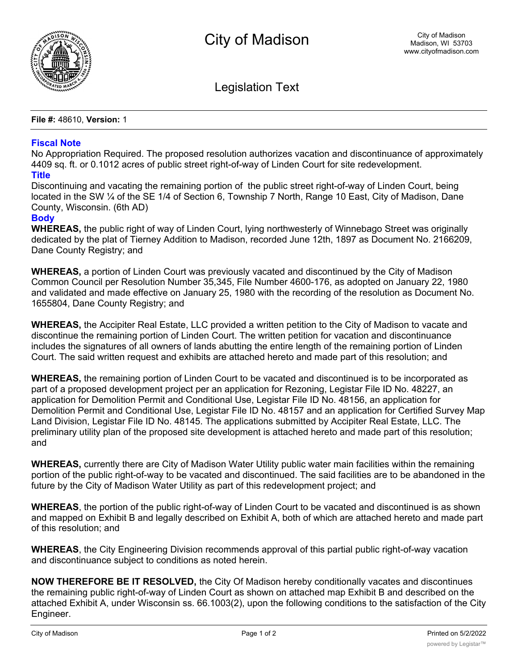

Legislation Text

**File #:** 48610, **Version:** 1

## **Fiscal Note**

No Appropriation Required. The proposed resolution authorizes vacation and discontinuance of approximately 4409 sq. ft. or 0.1012 acres of public street right-of-way of Linden Court for site redevelopment. **Title**

Discontinuing and vacating the remaining portion of the public street right-of-way of Linden Court, being located in the SW ¼ of the SE 1/4 of Section 6, Township 7 North, Range 10 East, City of Madison, Dane County, Wisconsin. (6th AD)

## **Body**

**WHEREAS,** the public right of way of Linden Court, lying northwesterly of Winnebago Street was originally dedicated by the plat of Tierney Addition to Madison, recorded June 12th, 1897 as Document No. 2166209, Dane County Registry; and

**WHEREAS,** a portion of Linden Court was previously vacated and discontinued by the City of Madison Common Council per Resolution Number 35,345, File Number 4600-176, as adopted on January 22, 1980 and validated and made effective on January 25, 1980 with the recording of the resolution as Document No. 1655804, Dane County Registry; and

**WHEREAS,** the Accipiter Real Estate, LLC provided a written petition to the City of Madison to vacate and discontinue the remaining portion of Linden Court. The written petition for vacation and discontinuance includes the signatures of all owners of lands abutting the entire length of the remaining portion of Linden Court. The said written request and exhibits are attached hereto and made part of this resolution; and

**WHEREAS,** the remaining portion of Linden Court to be vacated and discontinued is to be incorporated as part of a proposed development project per an application for Rezoning, Legistar File ID No. 48227, an application for Demolition Permit and Conditional Use, Legistar File ID No. 48156, an application for Demolition Permit and Conditional Use, Legistar File ID No. 48157 and an application for Certified Survey Map Land Division, Legistar File ID No. 48145. The applications submitted by Accipiter Real Estate, LLC. The preliminary utility plan of the proposed site development is attached hereto and made part of this resolution; and

**WHEREAS,** currently there are City of Madison Water Utility public water main facilities within the remaining portion of the public right-of-way to be vacated and discontinued. The said facilities are to be abandoned in the future by the City of Madison Water Utility as part of this redevelopment project; and

**WHEREAS**, the portion of the public right-of-way of Linden Court to be vacated and discontinued is as shown and mapped on Exhibit B and legally described on Exhibit A, both of which are attached hereto and made part of this resolution; and

**WHEREAS**, the City Engineering Division recommends approval of this partial public right-of-way vacation and discontinuance subject to conditions as noted herein.

**NOW THEREFORE BE IT RESOLVED,** the City Of Madison hereby conditionally vacates and discontinues the remaining public right-of-way of Linden Court as shown on attached map Exhibit B and described on the attached Exhibit A, under Wisconsin ss. 66.1003(2), upon the following conditions to the satisfaction of the City Engineer.